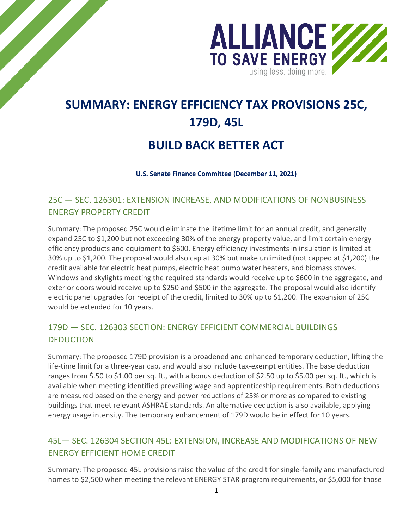

# **SUMMARY: ENERGY EFFICIENCY TAX PROVISIONS 25C, 179D, 45L**

## **BUILD BACK BETTER ACT**

**U.S. Senate Finance Committee (December 11, 2021)**

### 25C — SEC. 126301: EXTENSION INCREASE, AND MODIFICATIONS OF NONBUSINESS ENERGY PROPERTY CREDIT

Summary: The proposed 25C would eliminate the lifetime limit for an annual credit, and generally expand 25C to \$1,200 but not exceeding 30% of the energy property value, and limit certain energy efficiency products and equipment to \$600. Energy efficiency investments in insulation is limited at 30% up to \$1,200. The proposal would also cap at 30% but make unlimited (not capped at \$1,200) the credit available for electric heat pumps, electric heat pump water heaters, and biomass stoves. Windows and skylights meeting the required standards would receive up to \$600 in the aggregate, and exterior doors would receive up to \$250 and \$500 in the aggregate. The proposal would also identify electric panel upgrades for receipt of the credit, limited to 30% up to \$1,200. The expansion of 25C would be extended for 10 years.

### 179D — SEC. 126303 SECTION: ENERGY EFFICIENT COMMERCIAL BUILDINGS **DEDUCTION**

Summary: The proposed 179D provision is a broadened and enhanced temporary deduction, lifting the life-time limit for a three-year cap, and would also include tax-exempt entities. The base deduction ranges from \$.50 to \$1.00 per sq. ft., with a bonus deduction of \$2.50 up to \$5.00 per sq. ft., which is available when meeting identified prevailing wage and apprenticeship requirements. Both deductions are measured based on the energy and power reductions of 25% or more as compared to existing buildings that meet relevant ASHRAE standards. An alternative deduction is also available, applying energy usage intensity. The temporary enhancement of 179D would be in effect for 10 years.

### 45L— SEC. 126304 SECTION 45L: EXTENSION, INCREASE AND MODIFICATIONS OF NEW ENERGY EFFICIENT HOME CREDIT

Summary: The proposed 45L provisions raise the value of the credit for single-family and manufactured homes to \$2,500 when meeting the relevant ENERGY STAR program requirements, or \$5,000 for those